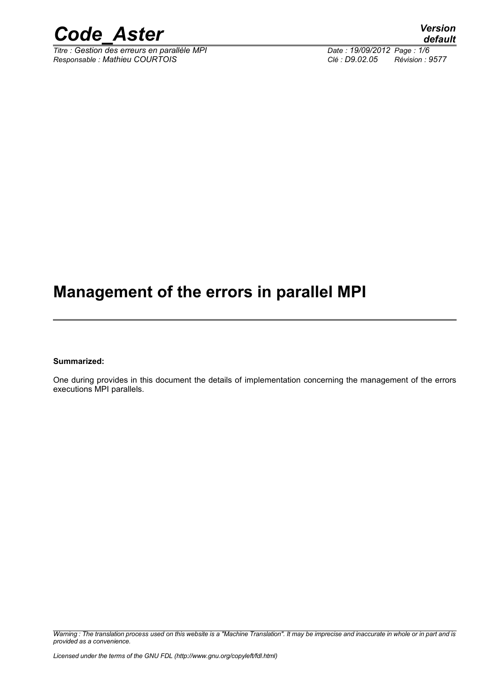

 $\overline{T}$ itre : Gestion des erreurs en parallèle MPI *Responsable : Mathieu COURTOIS Clé : D9.02.05 Révision : 9577*

*default*

# **Management of the errors in parallel MPI**

**Summarized:**

One during provides in this document the details of implementation concerning the management of the errors executions MPI parallels.

*Warning : The translation process used on this website is a "Machine Translation". It may be imprecise and inaccurate in whole or in part and is provided as a convenience.*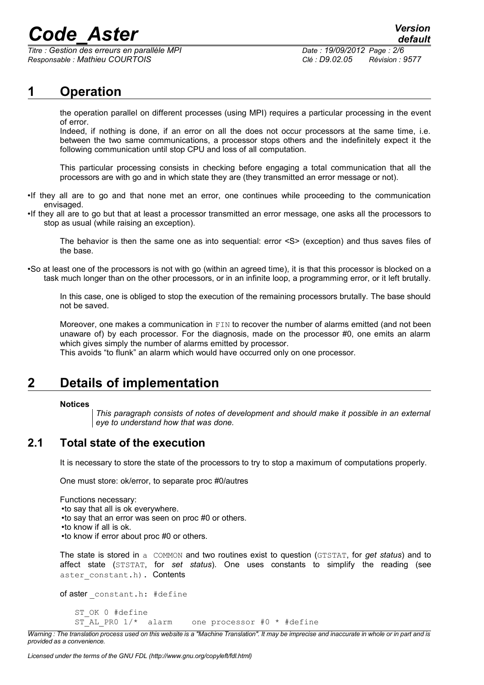*Titre : Gestion des erreurs en parallèle MPI Date : 19/09/2012 Page : 2/6 Responsable : Mathieu COURTOIS Clé : D9.02.05 Révision : 9577*

# **1 Operation**

the operation parallel on different processes (using MPI) requires a particular processing in the event of error.

Indeed, if nothing is done, if an error on all the does not occur processors at the same time, i.e. between the two same communications, a processor stops others and the indefinitely expect it the following communication until stop CPU and loss of all computation.

This particular processing consists in checking before engaging a total communication that all the processors are with go and in which state they are (they transmitted an error message or not).

- •If they all are to go and that none met an error, one continues while proceeding to the communication envisaged.
- •If they all are to go but that at least a processor transmitted an error message, one asks all the processors to stop as usual (while raising an exception).

The behavior is then the same one as into sequential: error <S> (exception) and thus saves files of the base.

•So at least one of the processors is not with go (within an agreed time), it is that this processor is blocked on a task much longer than on the other processors, or in an infinite loop, a programming error, or it left brutally.

In this case, one is obliged to stop the execution of the remaining processors brutally. The base should not be saved.

Moreover, one makes a communication in FIN to recover the number of alarms emitted (and not been unaware of) by each processor. For the diagnosis, made on the processor #0, one emits an alarm which gives simply the number of alarms emitted by processor.

This avoids "to flunk" an alarm which would have occurred only on one processor.

# **2 Details of implementation**

### **Notices**

*This paragraph consists of notes of development and should make it possible in an external eye to understand how that was done.*

### **2.1 Total state of the execution**

It is necessary to store the state of the processors to try to stop a maximum of computations properly.

One must store: ok/error, to separate proc #0/autres

Functions necessary: •to say that all is ok everywhere. •to say that an error was seen on proc #0 or others. •to know if all is ok. •to know if error about proc #0 or others.

The state is stored in a COMMON and two routines exist to question (GTSTAT, for *get status*) and to affect state (STSTAT, for *set status*). One uses constants to simplify the reading (see aster constant.h). Contents

of aster constant.h: #define ST\_OK 0 #define ST\_AL\_PR0  $1/*$  alarm one processor #0 \* #define

*Warning : The translation process used on this website is a "Machine Translation". It may be imprecise and inaccurate in whole or in part and is provided as a convenience.*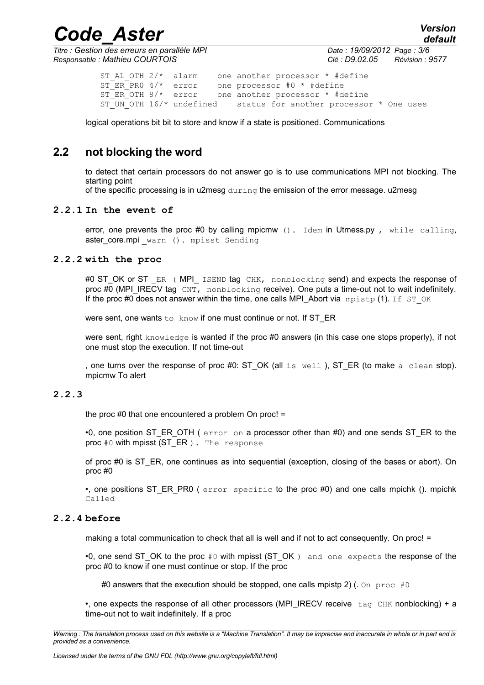*Titre : Gestion des erreurs en parallèle MPI Date : 19/09/2012 Page : 3/6 Responsable : Mathieu COURTOIS Clé : D9.02.05 Révision : 9577*

*default*

ST AL OTH  $2/*$  alarm one another processor \* #define ST\_ER\_PR0  $4/*$  error one processor #0 \* #define  $ST$  $ER$  $OTH$   $8/*$  error one another processor  $*$  #define<br> $ST$  UN OTH 16/\* undefined status for another processo status for another processor \* One uses

logical operations bit bit to store and know if a state is positioned. Communications

### **2.2 not blocking the word**

to detect that certain processors do not answer go is to use communications MPI not blocking. The starting point

of the specific processing is in u2mesg during the emission of the error message. u2mesg

### **2.2.1 In the event of**

error, one prevents the proc #0 by calling mpicmw (). Idem in Utmess.py, while calling, aster\_core.mpi warn (). mpisst Sending

### **2.2.2 with the proc**

#0 ST\_OK or ST ER ( MPI\_ ISEND tag CHK, nonblocking send) and expects the response of proc #0 (MPI\_IRECV tag CNT, nonblocking receive). One puts a time-out not to wait indefinitely. If the proc #0 does not answer within the time, one calls MPI\_Abort via  $mpistr(1)$ . If ST\_OK

were sent, one wants to know if one must continue or not. If ST\_ER

were sent, right knowledge is wanted if the proc #0 answers (in this case one stops properly), if not one must stop the execution. If not time-out

, one turns over the response of proc #0: ST\_OK (all is  $well$ ), ST\_ER (to make a clean stop). mpicmw To alert

### **2.2.3**

the proc #0 that one encountered a problem On proc! =

•0, one position ST\_ER\_OTH (  $error on a processor other than #0$ ) and one sends ST\_ER to the proc #0 with mpisst (ST\_ER ). The response

of proc #0 is ST\_ER, one continues as into sequential (exception, closing of the bases or abort). On proc #0

•, one positions ST\_ER\_PR0 ( error specific to the proc #0) and one calls mpichk (). mpichk Called

### **2.2.4 before**

making a total communication to check that all is well and if not to act consequently. On proc! =

•0, one send ST\_OK to the proc  $#0$  with mpisst (ST\_OK ) and one expects the response of the proc #0 to know if one must continue or stop. If the proc

#0 answers that the execution should be stopped, one calls mpistp 2) (. On proc  $#0$ 

•, one expects the response of all other processors (MPI\_IRECV receive tag CHK nonblocking) + a time-out not to wait indefinitely. If a proc

*Warning : The translation process used on this website is a "Machine Translation". It may be imprecise and inaccurate in whole or in part and is provided as a convenience.*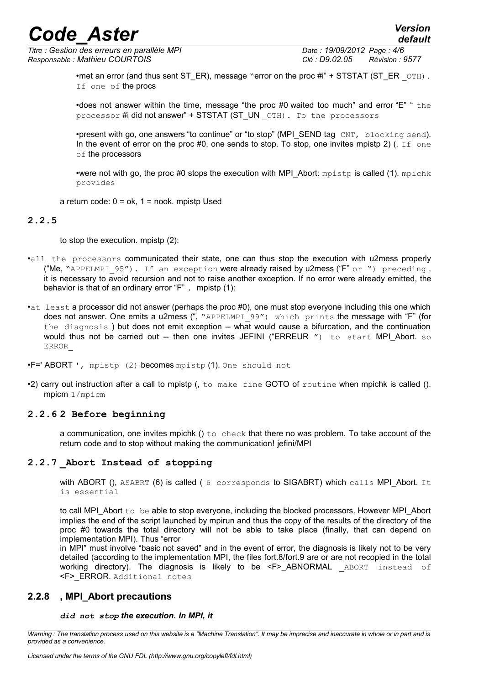*Titre : Gestion des erreurs en parallèle MPI Date : 19/09/2012 Page : 4/6 Responsable : Mathieu COURTOIS Clé : D9.02.05 Révision : 9577*

*default*

•met an error (and thus sent ST\_ER), message "error on the proc  $\#i$ " + STSTAT (ST\_ER \_OTH). If one of the procs

•does not answer within the time, message "the proc #0 waited too much" and error "E" " the processor #i did not answer" + STSTAT (ST\_UN \_OTH). To the processors

•present with go, one answers "to continue" or "to stop" (MPI\_SEND tag CNT, blocking send). In the event of error on the proc #0, one sends to stop. To stop, one invites mpistp 2) (. If one of the processors

•were not with go, the proc #0 stops the execution with MPI Abort:  $mpistp$  is called (1).  $mpichk$ provides

a return code:  $0 = ok$ ,  $1 = nook$ . mpistp Used

### **2.2.5**

to stop the execution. mpistp (2):

- •all the processors communicated their state, one can thus stop the execution with u2mess properly ("Me, "APPELMPI 95"). If an exception were already raised by u2mess ("F" or ") preceding, it is necessary to avoid recursion and not to raise another exception. If no error were already emitted, the behavior is that of an ordinary error "F" . mpistp (1):
- •at least a processor did not answer (perhaps the proc #0), one must stop everyone including this one which does not answer. One emits a u2mess (", "APPELMPI\_99") which prints the message with "F" (for the diagnosis ) but does not emit exception -- what would cause a bifurcation, and the continuation would thus not be carried out -- then one invites JEFINI ("ERREUR  $\%$ ) to start MPI Abort. so ERROR\_

•F=' ABORT ', mpistp (2) becomes mpistp (1). One should not

•2) carry out instruction after a call to mpistp (, to make fine GOTO of routine when mpichk is called (). mpicm 1/mpicm

### **2.2.6 2 Before beginning**

a communication, one invites mpichk () to check that there no was problem. To take account of the return code and to stop without making the communication! jefini/MPI

### **2.2.7 \_Abort Instead of stopping**

with ABORT (), ASABRT (6) is called (6 corresponds to SIGABRT) which calls MPI Abort. It is essential

to call MPI\_Abort to be able to stop everyone, including the blocked processors. However MPI\_Abort implies the end of the script launched by mpirun and thus the copy of the results of the directory of the proc #0 towards the total directory will not be able to take place (finally, that can depend on implementation MPI). Thus "error

in MPI" must involve "basic not saved" and in the event of error, the diagnosis is likely not to be very detailed (according to the implementation MPI, the files fort.8/fort.9 are or are not recopied in the total working directory). The diagnosis is likely to be <F>\_ABNORMAL ABORT instead of <F>\_ERROR. Additional notes

### **2.2.8 , MPI\_Abort precautions**

### *did not stop the execution. In MPI, it*

*Warning : The translation process used on this website is a "Machine Translation". It may be imprecise and inaccurate in whole or in part and is provided as a convenience.*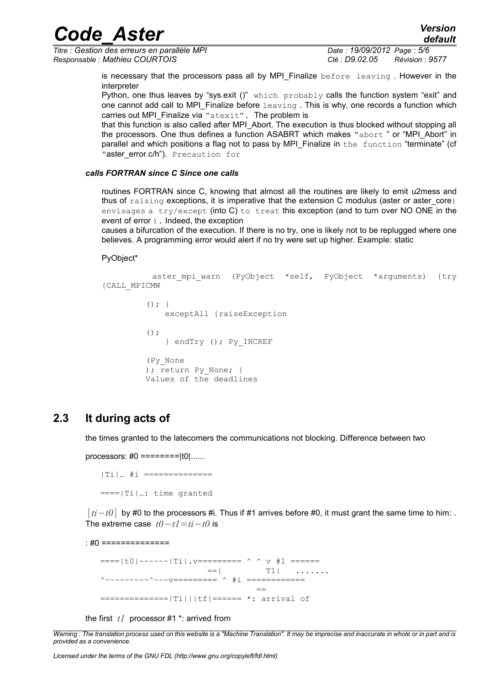*Titre : Gestion des erreurs en parallèle MPI Date : 19/09/2012 Page : 5/6 Responsable : Mathieu COURTOIS Clé : D9.02.05 Révision : 9577*

is necessary that the processors pass all by MPI Finalize before leaving. However in the interpreter

Python, one thus leaves by "sys.exit ()" which probably calls the function system "exit" and one cannot add call to MPI Finalize before  $l = \frac{1}{100}$ . This is why, one records a function which carries out MPI\_Finalize via "atexit". The problem is

that this function is also called after MPI\_Abort. The execution is thus blocked without stopping all the processors. One thus defines a function ASABRT which makes "abort " or "MPI\_Abort" in parallel and which positions a flag not to pass by MPI\_Finalize in the function "terminate" (cf "aster\_error.c/h"). Precaution for

### *calls FORTRAN since C Since one calls*

routines FORTRAN since C, knowing that almost all the routines are likely to emit u2mess and thus of  $r_{\text{a}}$  is ingexterestions, it is imperative that the extension C modulus (aster or aster core) envisages a try/except (into C) to treat this exception (and to turn over NO ONE in the event of error ). Indeed, the exception

causes a bifurcation of the execution. If there is no try, one is likely not to be replugged where one believes. A programming error would alert if no try were set up higher. Example: static

### PyObject\*

```
aster mpi warn (PyObject *self, PyObject *arguments) {try
{CALL_MPICMW
         () ; \} exceptAll {raiseException
         ();
              } endTry (); Py_INCREF
          (Py_None
         ); return Py None; \} Values of the deadlines
```
### **2.3 It during acts of**

the times granted to the latecomers the communications not blocking. Difference between two

processors:  $\#0 = == == == |t0|$ ......

 |Ti|… #i ============== ====|Ti|…: time granted

[*ti*−*t0*] by #0 to the processors #i. Thus if #1 arrives before #0, it must grant the same time to him: . The extreme case *t0*−*t1*=*ti*−*t0* is

: #0 ==============

 ====|t0|~~~~~~|Ti|.v========= ^ ^ v #1 ======  $==|$  T1| ......  $\wedge$  ~~~~~~~~~~~~v==========  $\wedge$  #i ============= == ==============|Ti|||tf|====== \*: arrival of

the first *t1* processor #1 \*: arrived from

*Warning : The translation process used on this website is a "Machine Translation". It may be imprecise and inaccurate in whole or in part and is provided as a convenience.*